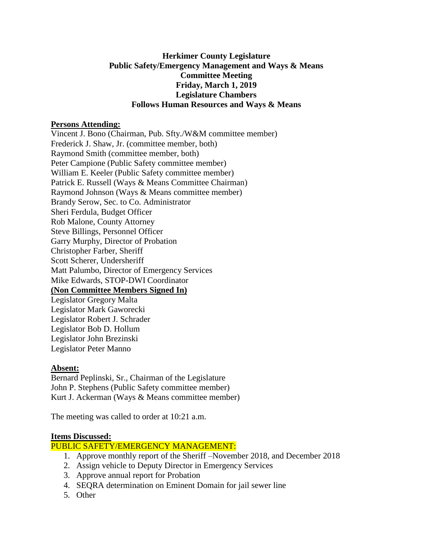# **Herkimer County Legislature Public Safety/Emergency Management and Ways & Means Committee Meeting Friday, March 1, 2019 Legislature Chambers Follows Human Resources and Ways & Means**

## **Persons Attending:**

Vincent J. Bono (Chairman, Pub. Sfty./W&M committee member) Frederick J. Shaw, Jr. (committee member, both) Raymond Smith (committee member, both) Peter Campione (Public Safety committee member) William E. Keeler (Public Safety committee member) Patrick E. Russell (Ways & Means Committee Chairman) Raymond Johnson (Ways & Means committee member) Brandy Serow, Sec. to Co. Administrator Sheri Ferdula, Budget Officer Rob Malone, County Attorney Steve Billings, Personnel Officer Garry Murphy, Director of Probation Christopher Farber, Sheriff Scott Scherer, Undersheriff Matt Palumbo, Director of Emergency Services Mike Edwards, STOP-DWI Coordinator **(Non Committee Members Signed In)** Legislator Gregory Malta Legislator Mark Gaworecki Legislator Robert J. Schrader Legislator Bob D. Hollum Legislator John Brezinski Legislator Peter Manno

### **Absent:**

Bernard Peplinski, Sr., Chairman of the Legislature John P. Stephens (Public Safety committee member) Kurt J. Ackerman (Ways & Means committee member)

The meeting was called to order at 10:21 a.m.

### **Items Discussed:**

## PUBLIC SAFETY/EMERGENCY MANAGEMENT:

- 1. Approve monthly report of the Sheriff –November 2018, and December 2018
- 2. Assign vehicle to Deputy Director in Emergency Services
- 3. Approve annual report for Probation
- 4. SEQRA determination on Eminent Domain for jail sewer line
- 5. Other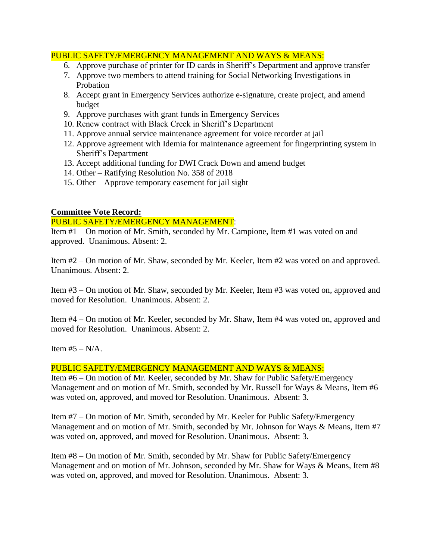# PUBLIC SAFETY/EMERGENCY MANAGEMENT AND WAYS & MEANS:

- 6. Approve purchase of printer for ID cards in Sheriff's Department and approve transfer
- 7. Approve two members to attend training for Social Networking Investigations in Probation
- 8. Accept grant in Emergency Services authorize e-signature, create project, and amend budget
- 9. Approve purchases with grant funds in Emergency Services
- 10. Renew contract with Black Creek in Sheriff's Department
- 11. Approve annual service maintenance agreement for voice recorder at jail
- 12. Approve agreement with Idemia for maintenance agreement for fingerprinting system in Sheriff's Department
- 13. Accept additional funding for DWI Crack Down and amend budget
- 14. Other Ratifying Resolution No. 358 of 2018
- 15. Other Approve temporary easement for jail sight

# **Committee Vote Record:**

### PUBLIC SAFETY/EMERGENCY MANAGEMENT:

Item #1 – On motion of Mr. Smith, seconded by Mr. Campione, Item #1 was voted on and approved. Unanimous. Absent: 2.

Item #2 – On motion of Mr. Shaw, seconded by Mr. Keeler, Item #2 was voted on and approved. Unanimous. Absent: 2.

Item #3 – On motion of Mr. Shaw, seconded by Mr. Keeler, Item #3 was voted on, approved and moved for Resolution. Unanimous. Absent: 2.

Item #4 – On motion of Mr. Keeler, seconded by Mr. Shaw, Item #4 was voted on, approved and moved for Resolution. Unanimous. Absent: 2.

Item  $#5 - N/A$ .

# PUBLIC SAFETY/EMERGENCY MANAGEMENT AND WAYS & MEANS:

Item #6 – On motion of Mr. Keeler, seconded by Mr. Shaw for Public Safety/Emergency Management and on motion of Mr. Smith, seconded by Mr. Russell for Ways & Means, Item #6 was voted on, approved, and moved for Resolution. Unanimous. Absent: 3.

Item #7 – On motion of Mr. Smith, seconded by Mr. Keeler for Public Safety/Emergency Management and on motion of Mr. Smith, seconded by Mr. Johnson for Ways & Means, Item #7 was voted on, approved, and moved for Resolution. Unanimous. Absent: 3.

Item #8 – On motion of Mr. Smith, seconded by Mr. Shaw for Public Safety/Emergency Management and on motion of Mr. Johnson, seconded by Mr. Shaw for Ways & Means, Item #8 was voted on, approved, and moved for Resolution. Unanimous. Absent: 3.